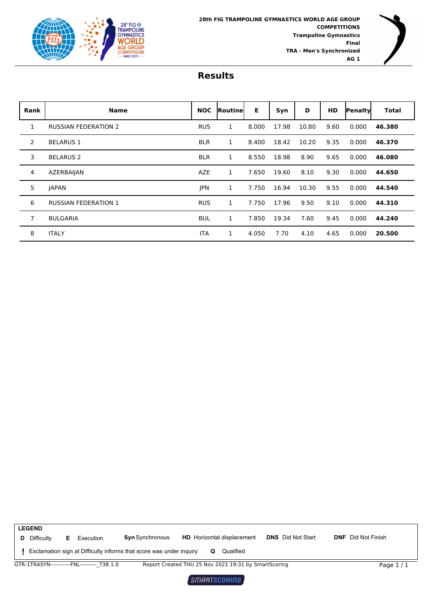



| Rank | <b>Name</b>                 | <b>NOC</b> | <b>Routinel</b> | Е     | Syn   | D     | <b>HD</b> | Penalty | <b>Total</b> |
|------|-----------------------------|------------|-----------------|-------|-------|-------|-----------|---------|--------------|
| 1    | <b>RUSSIAN FEDERATION 2</b> | <b>RUS</b> | 1               | 8.000 | 17.98 | 10.80 | 9.60      | 0.000   | 46.380       |
| 2    | <b>BELARUS 1</b>            | <b>BLR</b> | $\mathbf{1}$    | 8.400 | 18.42 | 10.20 | 9.35      | 0.000   | 46.370       |
| 3    | <b>BELARUS 2</b>            | <b>BLR</b> | 1               | 8.550 | 18.98 | 8.90  | 9.65      | 0.000   | 46.080       |
| 4    | AZERBAIJAN                  | <b>AZE</b> | 1               | 7.650 | 19.60 | 8.10  | 9.30      | 0.000   | 44.650       |
| 5    | <b>JAPAN</b>                | JPN        | 1               | 7.750 | 16.94 | 10.30 | 9.55      | 0.000   | 44.540       |
| 6    | <b>RUSSIAN FEDERATION 1</b> | <b>RUS</b> | 1               | 7.750 | 17.96 | 9.50  | 9.10      | 0.000   | 44.310       |
| 7    | <b>BULGARIA</b>             | <b>BUL</b> | 1               | 7.850 | 19.34 | 7.60  | 9.45      | 0.000   | 44.240       |
| 8    | <b>ITALY</b>                | <b>ITA</b> | 1               | 4.050 | 7.70  | 4.10  | 4.65      | 0.000   | 20.500       |

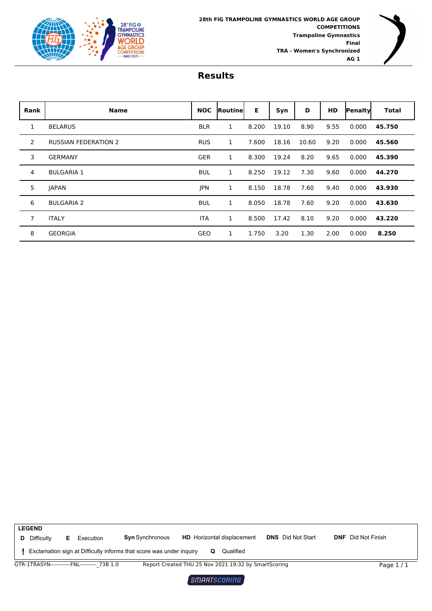



| <b>Rank</b>  | <b>Name</b>                 | <b>NOC</b> | <b>Routinel</b> | Е     | Syn   | D     | <b>HD</b> | Penalty | <b>Total</b> |
|--------------|-----------------------------|------------|-----------------|-------|-------|-------|-----------|---------|--------------|
| $\mathbf{1}$ | <b>BELARUS</b>              | <b>BLR</b> | 1               | 8.200 | 19.10 | 8.90  | 9.55      | 0.000   | 45.750       |
| 2            | <b>RUSSIAN FEDERATION 2</b> | <b>RUS</b> | 1               | 7.600 | 18.16 | 10.60 | 9.20      | 0.000   | 45.560       |
| 3            | <b>GERMANY</b>              | <b>GER</b> | 1               | 8.300 | 19.24 | 8.20  | 9.65      | 0.000   | 45.390       |
| 4            | <b>BULGARIA 1</b>           | <b>BUL</b> | 1               | 8.250 | 19.12 | 7.30  | 9.60      | 0.000   | 44.270       |
| 5            | <b>JAPAN</b>                | <b>JPN</b> | 1               | 8.150 | 18.78 | 7.60  | 9.40      | 0.000   | 43.930       |
| 6            | <b>BULGARIA 2</b>           | <b>BUL</b> | 1               | 8.050 | 18.78 | 7.60  | 9.20      | 0.000   | 43.630       |
| 7            | <b>ITALY</b>                | <b>ITA</b> | 1               | 8.500 | 17.42 | 8.10  | 9.20      | 0.000   | 43.220       |
| 8            | <b>GEORGIA</b>              | GEO        | 1               | 1.750 | 3.20  | 1.30  | 2.00      | 0.000   | 8.250        |



 $SMRRTSCORING$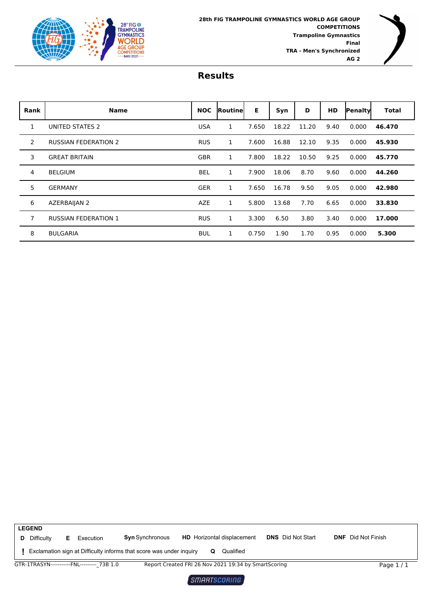



| Rank | <b>Name</b>                 | <b>NOC</b> | <b>Routinel</b> | Е     | Syn   | D     | <b>HD</b> | Penalty | <b>Total</b> |
|------|-----------------------------|------------|-----------------|-------|-------|-------|-----------|---------|--------------|
| 1    | UNITED STATES 2             | <b>USA</b> | 1               | 7.650 | 18.22 | 11.20 | 9.40      | 0.000   | 46.470       |
| 2    | <b>RUSSIAN FEDERATION 2</b> | <b>RUS</b> | 1               | 7.600 | 16.88 | 12.10 | 9.35      | 0.000   | 45.930       |
| 3    | <b>GREAT BRITAIN</b>        | <b>GBR</b> | 1               | 7.800 | 18.22 | 10.50 | 9.25      | 0.000   | 45.770       |
| 4    | <b>BELGIUM</b>              | <b>BEL</b> | 1               | 7.900 | 18.06 | 8.70  | 9.60      | 0.000   | 44.260       |
| 5    | <b>GERMANY</b>              | <b>GER</b> | 1               | 7.650 | 16.78 | 9.50  | 9.05      | 0.000   | 42.980       |
| 6    | AZERBAIJAN 2                | <b>AZE</b> | 1               | 5.800 | 13.68 | 7.70  | 6.65      | 0.000   | 33.830       |
| 7    | <b>RUSSIAN FEDERATION 1</b> | <b>RUS</b> | 1               | 3.300 | 6.50  | 3.80  | 3.40      | 0.000   | 17.000       |
| 8    | <b>BULGARIA</b>             | <b>BUL</b> | 1               | 0.750 | 1.90  | 1.70  | 0.95      | 0.000   | 5.300        |

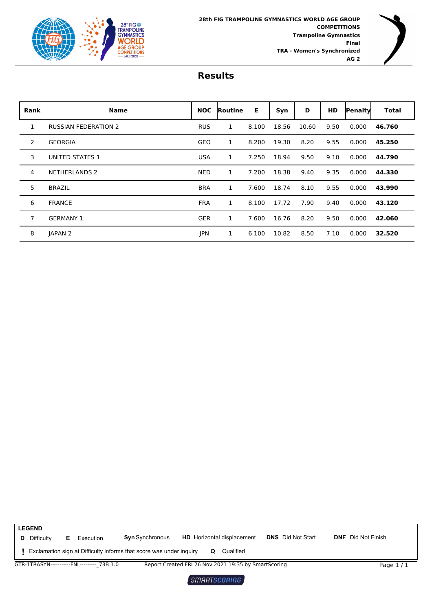



| Rank | <b>Name</b>                 | <b>NOC</b> | <b>Routinel</b> | Е     | Syn   | D     | <b>HD</b> | Penalty | <b>Total</b> |
|------|-----------------------------|------------|-----------------|-------|-------|-------|-----------|---------|--------------|
| 1    | <b>RUSSIAN FEDERATION 2</b> | <b>RUS</b> | 1               | 8.100 | 18.56 | 10.60 | 9.50      | 0.000   | 46.760       |
| 2    | <b>GEORGIA</b>              | <b>GEO</b> | 1               | 8.200 | 19.30 | 8.20  | 9.55      | 0.000   | 45.250       |
| 3    | <b>UNITED STATES 1</b>      | <b>USA</b> | 1               | 7.250 | 18.94 | 9.50  | 9.10      | 0.000   | 44.790       |
| 4    | <b>NETHERLANDS 2</b>        | <b>NED</b> | 1               | 7.200 | 18.38 | 9.40  | 9.35      | 0.000   | 44.330       |
| 5    | <b>BRAZIL</b>               | <b>BRA</b> | 1               | 7.600 | 18.74 | 8.10  | 9.55      | 0.000   | 43.990       |
| 6    | <b>FRANCE</b>               | <b>FRA</b> | 1               | 8.100 | 17.72 | 7.90  | 9.40      | 0.000   | 43.120       |
| 7    | <b>GERMANY 1</b>            | <b>GER</b> | 1               | 7.600 | 16.76 | 8.20  | 9.50      | 0.000   | 42.060       |
| 8    | JAPAN <sub>2</sub>          | JPN        | 1               | 6.100 | 10.82 | 8.50  | 7.10      | 0.000   | 32.520       |

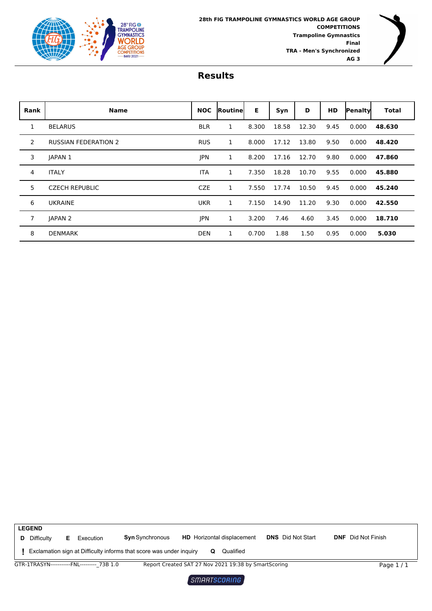



| Rank | <b>Name</b>                 | <b>NOC</b> | Routinel | Е     | Syn   | D     | <b>HD</b> | Penaltyl | Total  |
|------|-----------------------------|------------|----------|-------|-------|-------|-----------|----------|--------|
| 1    | <b>BELARUS</b>              | <b>BLR</b> | 1        | 8.300 | 18.58 | 12.30 | 9.45      | 0.000    | 48.630 |
| 2    | <b>RUSSIAN FEDERATION 2</b> | <b>RUS</b> | 1        | 8.000 | 17.12 | 13.80 | 9.50      | 0.000    | 48.420 |
| 3    | <b>JAPAN 1</b>              | JPN        | 1        | 8.200 | 17.16 | 12.70 | 9.80      | 0.000    | 47.860 |
| 4    | <b>ITALY</b>                | <b>ITA</b> | 1        | 7.350 | 18.28 | 10.70 | 9.55      | 0.000    | 45.880 |
| 5    | <b>CZECH REPUBLIC</b>       | <b>CZE</b> | 1        | 7.550 | 17.74 | 10.50 | 9.45      | 0.000    | 45.240 |
| 6    | <b>UKRAINE</b>              | <b>UKR</b> | 1        | 7.150 | 14.90 | 11.20 | 9.30      | 0.000    | 42.550 |
|      | <b>JAPAN 2</b>              | JPN        | 1        | 3.200 | 7.46  | 4.60  | 3.45      | 0.000    | 18.710 |
| 8    | <b>DENMARK</b>              | <b>DEN</b> | 1        | 0.700 | 1.88  | 1.50  | 0.95      | 0.000    | 5.030  |

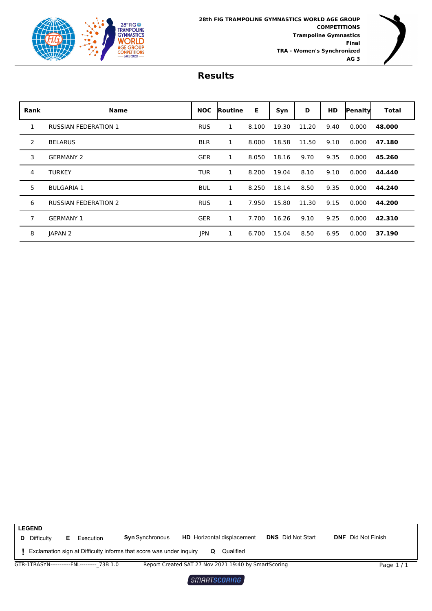



| Rank         | <b>Name</b>                 | <b>NOC</b> | <b>Routinel</b> | Е     | Syn   | D     | <b>HD</b> | Penaltyl | Total  |
|--------------|-----------------------------|------------|-----------------|-------|-------|-------|-----------|----------|--------|
| $\mathbf{1}$ | <b>RUSSIAN FEDERATION 1</b> | <b>RUS</b> | 1               | 8.100 | 19.30 | 11.20 | 9.40      | 0.000    | 48.000 |
| 2            | <b>BELARUS</b>              | <b>BLR</b> | 1               | 8.000 | 18.58 | 11.50 | 9.10      | 0.000    | 47.180 |
| 3            | <b>GERMANY 2</b>            | <b>GER</b> | 1               | 8.050 | 18.16 | 9.70  | 9.35      | 0.000    | 45.260 |
| 4            | <b>TURKEY</b>               | <b>TUR</b> | 1               | 8.200 | 19.04 | 8.10  | 9.10      | 0.000    | 44.440 |
| 5            | <b>BULGARIA 1</b>           | <b>BUL</b> | 1               | 8.250 | 18.14 | 8.50  | 9.35      | 0.000    | 44.240 |
| 6            | <b>RUSSIAN FEDERATION 2</b> | <b>RUS</b> | 1               | 7.950 | 15.80 | 11.30 | 9.15      | 0.000    | 44.200 |
| 7            | <b>GERMANY 1</b>            | <b>GER</b> | 1               | 7.700 | 16.26 | 9.10  | 9.25      | 0.000    | 42.310 |
| 8            | JAPAN <sub>2</sub>          | <b>JPN</b> | 1               | 6.700 | 15.04 | 8.50  | 6.95      | 0.000    | 37.190 |

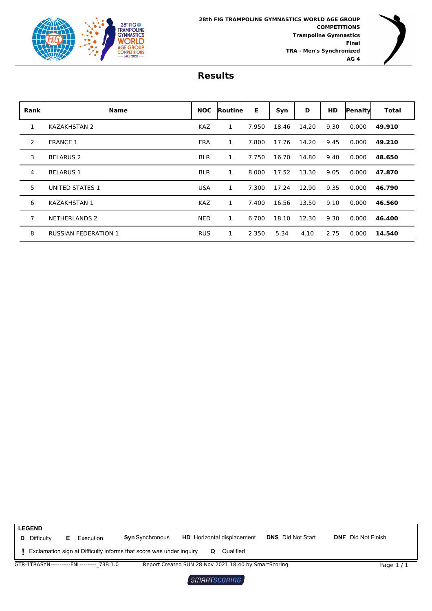



| Rank | <b>Name</b>                 | <b>NOC</b> | <b>Routinel</b> | E.    | Syn   | D     | <b>HD</b> | Penaltyl | Total  |
|------|-----------------------------|------------|-----------------|-------|-------|-------|-----------|----------|--------|
| 1    | <b>KAZAKHSTAN 2</b>         | <b>KAZ</b> | 1               | 7.950 | 18.46 | 14.20 | 9.30      | 0.000    | 49.910 |
| 2    | <b>FRANCE 1</b>             | <b>FRA</b> | 1               | 7.800 | 17.76 | 14.20 | 9.45      | 0.000    | 49.210 |
| 3    | <b>BELARUS 2</b>            | <b>BLR</b> | 1               | 7.750 | 16.70 | 14.80 | 9.40      | 0.000    | 48.650 |
| 4    | <b>BELARUS 1</b>            | <b>BLR</b> | 1               | 8.000 | 17.52 | 13.30 | 9.05      | 0.000    | 47.870 |
| 5    | UNITED STATES 1             | <b>USA</b> | 1               | 7.300 | 17.24 | 12.90 | 9.35      | 0.000    | 46.790 |
| 6    | <b>KAZAKHSTAN 1</b>         | <b>KAZ</b> | 1               | 7.400 | 16.56 | 13.50 | 9.10      | 0.000    | 46.560 |
| 7    | <b>NETHERLANDS 2</b>        | <b>NED</b> | 1               | 6.700 | 18.10 | 12.30 | 9.30      | 0.000    | 46.400 |
| 8    | <b>RUSSIAN FEDERATION 1</b> | <b>RUS</b> | 1               | 2.350 | 5.34  | 4.10  | 2.75      | 0.000    | 14.540 |